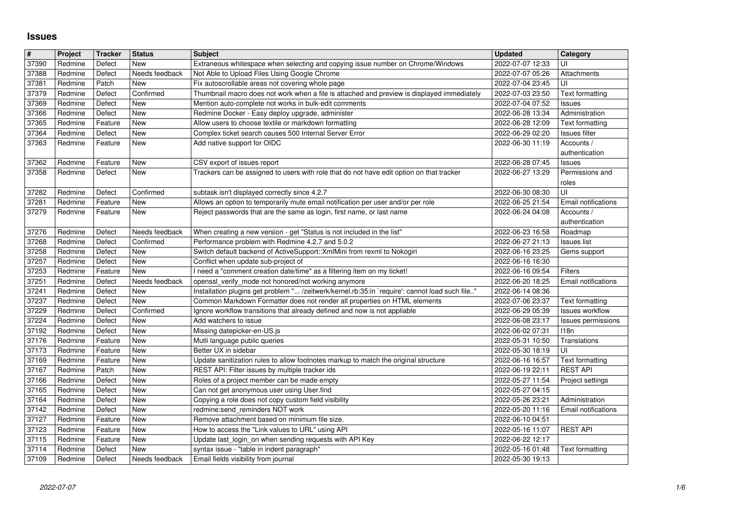## **Issues**

| #              | Project            | <b>Tracker</b>    | <b>Status</b>                | <b>Subject</b>                                                                                                                         | <b>Updated</b>                       | Category                              |
|----------------|--------------------|-------------------|------------------------------|----------------------------------------------------------------------------------------------------------------------------------------|--------------------------------------|---------------------------------------|
| 37390<br>37388 | Redmine<br>Redmine | Defect<br>Defect  | New<br>Needs feedback        | Extraneous whitespace when selecting and copying issue number on Chrome/Windows<br>Not Able to Upload Files Using Google Chrome        | 2022-07-07 12:33<br>2022-07-07 05:26 | UI<br>Attachments                     |
| 37381          | Redmine            | Patch             | New                          | Fix autoscrollable areas not covering whole page                                                                                       | 2022-07-04 23:45                     | UI                                    |
| 37379          | Redmine            | Defect            | Confirmed                    | Thumbnail macro does not work when a file is attached and preview is displayed immediately                                             | 2022-07-03 23:50                     | Text formatting                       |
| 37369<br>37366 | Redmine<br>Redmine | Defect<br>Defect  | New<br>New                   | Mention auto-complete not works in bulk-edit comments<br>Redmine Docker - Easy deploy upgrade, administer                              | 2022-07-04 07:52<br>2022-06-28 13:34 | Issues<br>Administration              |
| 37365          | Redmine            | Feature           | <b>New</b>                   | Allow users to choose textile or markdown formatting                                                                                   | 2022-06-28 12:09                     | Text formatting                       |
| 37364          | Redmine            | Defect            | New                          | Complex ticket search causes 500 Internal Server Error                                                                                 | 2022-06-29 02:20                     | Issues filter                         |
| 37363          | Redmine            | Feature           | New                          | Add native support for OIDC                                                                                                            | 2022-06-30 11:19                     | Accounts /<br>authentication          |
| 37362          | Redmine            | Feature           | New                          | CSV export of issues report                                                                                                            | 2022-06-28 07:45                     | <b>Issues</b>                         |
| 37358          | Redmine            | Defect            | New                          | Trackers can be assigned to users with role that do not have edit option on that tracker                                               | 2022-06-27 13:29                     | Permissions and                       |
|                |                    |                   |                              |                                                                                                                                        |                                      | roles<br>UI                           |
| 37282<br>37281 | Redmine<br>Redmine | Defect<br>Feature | Confirmed<br>New             | subtask isn't displayed correctly since 4.2.7<br>Allows an option to temporarily mute email notification per user and/or per role      | 2022-06-30 08:30<br>2022-06-25 21:54 | Email notifications                   |
| 37279          | Redmine            | Feature           | New                          | Reject passwords that are the same as login, first name, or last name                                                                  | 2022-06-24 04:08                     | Accounts /                            |
|                |                    |                   |                              |                                                                                                                                        |                                      | authentication                        |
| 37276<br>37268 | Redmine<br>Redmine | Defect<br>Defect  | Needs feedback<br>Confirmed  | When creating a new version - get "Status is not included in the list"<br>Performance problem with Redmine 4.2.7 and 5.0.2             | 2022-06-23 16:58<br>2022-06-27 21:13 | Roadmap<br><b>Issues list</b>         |
| 37258          | Redmine            | Defect            | New                          | Switch default backend of ActiveSupport:: XmlMini from rexml to Nokogiri                                                               | 2022-06-16 23:25                     | Gems support                          |
| 37257          | Redmine            | Defect            | New                          | Conflict when update sub-project of                                                                                                    | 2022-06-16 16:30                     |                                       |
| 37253<br>37251 | Redmine<br>Redmine | Feature<br>Defect | <b>New</b><br>Needs feedback | I need a "comment creation date/time" as a filtering item on my ticket!<br>openssl_verify_mode not honored/not working anymore         | 2022-06-16 09:54<br>2022-06-20 18:25 | Filters<br>Email notifications        |
| 37241          | Redmine            | Defect            | New                          | Installation plugins get problem " /zeitwerk/kernel.rb:35:in `require': cannot load such file"                                         | 2022-06-14 08:36                     |                                       |
| 37237          | Redmine            | Defect            | <b>New</b>                   | Common Markdown Formatter does not render all properties on HTML elements                                                              | 2022-07-06 23:37                     | Text formatting                       |
| 37229<br>37224 | Redmine<br>Redmine | Defect<br>Defect  | Confirmed<br>New             | Ignore workflow transitions that already defined and now is not appliable<br>Add watchers to issue                                     | 2022-06-29 05:39<br>2022-06-08 23:17 | Issues workflow<br>Issues permissions |
| 37192          | Redmine            | Defect            | New                          | Missing datepicker-en-US.js                                                                                                            | 2022-06-02 07:31                     | 118n                                  |
| 37176          | Redmine            | Feature           | New                          | Mutli language public queries                                                                                                          | 2022-05-31 10:50                     | Translations                          |
| 37173          | Redmine            | Feature           | New                          | Better UX in sidebar                                                                                                                   | 2022-05-30 18:19                     | UI                                    |
| 37169<br>37167 | Redmine<br>Redmine | Feature<br>Patch  | New<br>New                   | Update sanitization rules to allow footnotes markup to match the original structure<br>REST API: Filter issues by multiple tracker ids | 2022-06-16 16:57<br>2022-06-19 22:11 | Text formatting<br><b>REST API</b>    |
| 37166          | Redmine            | Defect            | New                          | Roles of a project member can be made empty                                                                                            | 2022-05-27 11:54                     | Project settings                      |
| 37165          | Redmine            | Defect            | <b>New</b>                   | Can not get anonymous user using User.find                                                                                             | 2022-05-27 04:15                     |                                       |
| 37164<br>37142 | Redmine<br>Redmine | Defect<br>Defect  | New<br>New                   | Copying a role does not copy custom field visibility<br>redmine:send_reminders NOT work                                                | 2022-05-26 23:21<br>2022-05-20 11:16 | Administration<br>Email notifications |
| 37127          | Redmine            | Feature           | New                          | Remove attachment based on minimum file size.                                                                                          | 2022-06-10 04:51                     |                                       |
| 37123          | Redmine            | Feature           | New                          | How to access the "Link values to URL" using API                                                                                       | 2022-05-16 11:07                     | <b>REST API</b>                       |
| 37115          | Redmine            | Feature           | New                          | Update last_login_on when sending requests with API Key                                                                                | 2022-06-22 12:17                     |                                       |
| 37114<br>37109 | Redmine<br>Redmine | Defect<br>Defect  | <b>New</b><br>Needs feedback | syntax issue - "table in indent paragraph"<br>Email fields visibility from journal                                                     | 2022-05-16 01:48<br>2022-05-30 19:13 | Text formatting                       |
|                |                    |                   |                              |                                                                                                                                        |                                      |                                       |
|                |                    |                   |                              |                                                                                                                                        |                                      |                                       |
|                |                    |                   |                              |                                                                                                                                        |                                      |                                       |
|                |                    |                   |                              |                                                                                                                                        |                                      |                                       |
|                |                    |                   |                              |                                                                                                                                        |                                      |                                       |
|                |                    |                   |                              |                                                                                                                                        |                                      |                                       |
|                |                    |                   |                              |                                                                                                                                        |                                      |                                       |
|                |                    |                   |                              |                                                                                                                                        |                                      |                                       |
|                |                    |                   |                              |                                                                                                                                        |                                      |                                       |
|                |                    |                   |                              |                                                                                                                                        |                                      |                                       |
|                |                    |                   |                              |                                                                                                                                        |                                      |                                       |
|                |                    |                   |                              |                                                                                                                                        |                                      |                                       |
|                |                    |                   |                              |                                                                                                                                        |                                      |                                       |
|                |                    |                   |                              |                                                                                                                                        |                                      |                                       |
|                |                    |                   |                              |                                                                                                                                        |                                      |                                       |
|                |                    |                   |                              |                                                                                                                                        |                                      |                                       |
|                |                    |                   |                              |                                                                                                                                        |                                      |                                       |
|                |                    |                   |                              |                                                                                                                                        |                                      |                                       |
|                |                    |                   |                              |                                                                                                                                        |                                      |                                       |
|                |                    |                   |                              |                                                                                                                                        |                                      |                                       |
|                |                    |                   |                              |                                                                                                                                        |                                      |                                       |
|                |                    |                   |                              |                                                                                                                                        |                                      |                                       |
|                |                    |                   |                              |                                                                                                                                        |                                      |                                       |
|                |                    |                   |                              |                                                                                                                                        |                                      |                                       |
|                |                    |                   |                              |                                                                                                                                        |                                      |                                       |
|                |                    |                   |                              |                                                                                                                                        |                                      |                                       |
|                |                    |                   |                              |                                                                                                                                        |                                      |                                       |
|                |                    |                   |                              |                                                                                                                                        |                                      |                                       |
|                |                    |                   |                              |                                                                                                                                        |                                      |                                       |
|                |                    |                   |                              |                                                                                                                                        |                                      |                                       |
|                |                    |                   |                              |                                                                                                                                        |                                      |                                       |
|                |                    |                   |                              |                                                                                                                                        |                                      |                                       |
|                |                    |                   |                              |                                                                                                                                        |                                      |                                       |
|                |                    |                   |                              |                                                                                                                                        |                                      |                                       |
|                |                    |                   |                              |                                                                                                                                        |                                      |                                       |
|                |                    |                   |                              |                                                                                                                                        |                                      |                                       |
|                |                    |                   |                              |                                                                                                                                        |                                      |                                       |
|                |                    |                   |                              |                                                                                                                                        |                                      |                                       |
|                |                    |                   |                              |                                                                                                                                        |                                      |                                       |
|                |                    |                   |                              |                                                                                                                                        |                                      |                                       |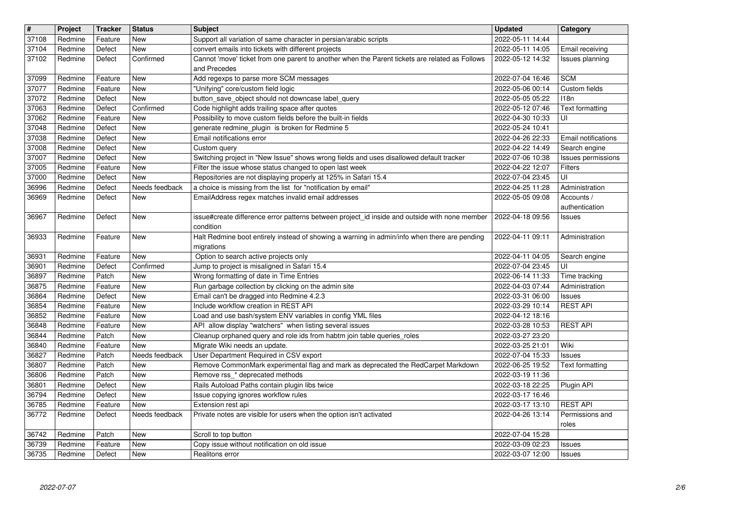| $\sqrt{\frac{4}{15}}$ | Project            | <b>Tracker</b>     | <b>Status</b>     | <b>Subject</b>                                                                                                                                        | <b>Updated</b>                       | Category                           |
|-----------------------|--------------------|--------------------|-------------------|-------------------------------------------------------------------------------------------------------------------------------------------------------|--------------------------------------|------------------------------------|
| 37108                 | Redmine            | Feature            | <b>New</b>        | Support all variation of same character in persian/arabic scripts                                                                                     | 2022-05-11 14:44                     |                                    |
| 37104<br>37102        | Redmine<br>Redmine | Defect<br>Defect   | New<br>Confirmed  | convert emails into tickets with different projects<br>Cannot 'move' ticket from one parent to another when the Parent tickets are related as Follows | 2022-05-11 14:05<br>2022-05-12 14:32 | Email receiving<br>Issues planning |
|                       |                    |                    |                   | and Precedes                                                                                                                                          |                                      |                                    |
| 37099                 | Redmine            | Feature            | New               | Add regexps to parse more SCM messages                                                                                                                | 2022-07-04 16:46                     | <b>SCM</b>                         |
| 37077                 | Redmine            | Feature            | New               | "Unifying" core/custom field logic                                                                                                                    | 2022-05-06 00:14                     | Custom fields                      |
| 37072                 | Redmine            | Defect             | New               | button_save_object should not downcase label_query                                                                                                    | 2022-05-05 05:22                     | 118n                               |
| 37063<br>37062        | Redmine<br>Redmine | Defect<br>Feature  | Confirmed<br>New  | Code highlight adds trailing space after quotes<br>Possibility to move custom fields before the built-in fields                                       | 2022-05-12 07:46<br>2022-04-30 10:33 | Text formatting<br>UI              |
| 37048                 | Redmine            | Defect             | <b>New</b>        | generate redmine_plugin is broken for Redmine 5                                                                                                       | 2022-05-24 10:41                     |                                    |
| 37038                 | Redmine            | Defect             | New               | Email notifications error                                                                                                                             | 2022-04-26 22:33                     | Email notifications                |
| 37008                 | Redmine            | Defect             | New               | Custom query                                                                                                                                          | 2022-04-22 14:49                     | Search engine                      |
| 37007<br>37005        | Redmine<br>Redmine | Defect<br>Feature  | New<br>New        | Switching project in "New Issue" shows wrong fields and uses disallowed default tracker<br>Filter the issue whose status changed to open last week    | 2022-07-06 10:38<br>2022-04-22 12:07 | Issues permissions<br>Filters      |
| 37000                 | Redmine            | Defect             | New               | Repositories are not displaying properly at 125% in Safari 15.4                                                                                       | 2022-07-04 23:45                     | UI                                 |
| 36996                 | Redmine            | Defect             | Needs feedback    | a choice is missing from the list for "notification by email"                                                                                         | 2022-04-25 11:28                     | Administration                     |
| 36969                 | Redmine            | Defect             | New               | EmailAddress regex matches invalid email addresses                                                                                                    | 2022-05-05 09:08                     | Accounts /                         |
| 36967                 | Redmine            | Defect             | <b>New</b>        | issue#create difference error patterns between project_id inside and outside with none member                                                         | 2022-04-18 09:56                     | authentication<br>Issues           |
|                       |                    |                    |                   | condition                                                                                                                                             |                                      |                                    |
| 36933                 | Redmine            | Feature            | <b>New</b>        | Halt Redmine boot entirely instead of showing a warning in admin/info when there are pending                                                          | 2022-04-11 09:11                     | Administration                     |
|                       |                    |                    |                   | migrations                                                                                                                                            |                                      |                                    |
| 36931<br>36901        | Redmine<br>Redmine | Feature<br>Defect  | New<br>Confirmed  | Option to search active projects only<br>Jump to project is misaligned in Safari 15.4                                                                 | 2022-04-11 04:05<br>2022-07-04 23:45 | Search engine<br>UI                |
| 36897                 | Redmine            | Patch              | New               | Wrong formatting of date in Time Entries                                                                                                              | 2022-06-14 11:33                     | Time tracking                      |
| 36875                 | Redmine            | Feature            | New               | Run garbage collection by clicking on the admin site                                                                                                  | 2022-04-03 07:44                     | Administration                     |
| 36864                 | Redmine            | Defect             | New               | Email can't be dragged into Redmine 4.2.3                                                                                                             | 2022-03-31 06:00                     | Issues                             |
| 36854                 | Redmine            | Feature            | New               | Include workflow creation in REST API                                                                                                                 | 2022-03-29 10:14                     | <b>REST API</b>                    |
| 36852<br>36848        | Redmine<br>Redmine | Feature<br>Feature | New<br><b>New</b> | Load and use bash/system ENV variables in config YML files<br>API allow display "watchers" when listing several issues                                | 2022-04-12 18:16<br>2022-03-28 10:53 | <b>REST API</b>                    |
| 36844                 | Redmine            | Patch              | New               | Cleanup orphaned query and role ids from habtm join table queries_roles                                                                               | 2022-03-27 23:20                     |                                    |
| 36840                 | Redmine            | Feature            | New               | Migrate Wiki needs an update.                                                                                                                         | 2022-03-25 21:01                     | Wiki                               |
| 36827                 | Redmine            | Patch              | Needs feedback    | User Department Required in CSV export                                                                                                                | 2022-07-04 15:33                     | <b>Issues</b>                      |
| 36807                 | Redmine            | Patch              | New               | Remove CommonMark experimental flag and mark as deprecated the RedCarpet Markdown                                                                     | 2022-06-25 19:52                     | Text formatting                    |
| 36806<br>36801        | Redmine<br>Redmine | Patch<br>Defect    | New<br>New        | Remove rss_* deprecated methods<br>Rails Autoload Paths contain plugin libs twice                                                                     | 2022-03-19 11:36<br>2022-03-18 22:25 | Plugin API                         |
| 36794                 | Redmine            | Defect             | New               | Issue copying ignores workflow rules                                                                                                                  | 2022-03-17 16:46                     |                                    |
| 36785                 | Redmine            | Feature            | New               | Extension rest api                                                                                                                                    | 2022-03-17 13:10                     | <b>REST API</b>                    |
| 36772                 | Redmine            | Defect             | Needs feedback    | Private notes are visible for users when the option isn't activated                                                                                   | 2022-04-26 13:14                     | Permissions and                    |
| 36742                 | Redmine            | Patch              | <b>New</b>        | Scroll to top button                                                                                                                                  | 2022-07-04 15:28                     | roles                              |
| 36739                 | Redmine            | Feature            | New               | Copy issue without notification on old issue                                                                                                          | 2022-03-09 02:23                     | <b>Issues</b>                      |
| 36735                 | Redmine            | Defect             | New               | Realitons error                                                                                                                                       | 2022-03-07 12:00                     | <b>Issues</b>                      |
|                       | 2022-07-07         |                    |                   |                                                                                                                                                       |                                      |                                    |
|                       |                    |                    |                   |                                                                                                                                                       |                                      |                                    |
|                       |                    |                    |                   |                                                                                                                                                       |                                      |                                    |
|                       |                    |                    |                   |                                                                                                                                                       |                                      |                                    |
|                       |                    |                    |                   |                                                                                                                                                       |                                      |                                    |
|                       |                    |                    |                   |                                                                                                                                                       |                                      |                                    |
|                       |                    |                    |                   |                                                                                                                                                       |                                      |                                    |
|                       |                    |                    |                   |                                                                                                                                                       |                                      |                                    |
|                       |                    |                    |                   |                                                                                                                                                       |                                      |                                    |
|                       |                    |                    |                   |                                                                                                                                                       |                                      |                                    |
|                       |                    |                    |                   |                                                                                                                                                       |                                      |                                    |
|                       |                    |                    |                   |                                                                                                                                                       |                                      |                                    |
|                       |                    |                    |                   |                                                                                                                                                       |                                      |                                    |
|                       |                    |                    |                   |                                                                                                                                                       |                                      |                                    |
|                       |                    |                    |                   |                                                                                                                                                       |                                      |                                    |
|                       |                    |                    |                   |                                                                                                                                                       |                                      |                                    |
|                       |                    |                    |                   |                                                                                                                                                       |                                      |                                    |
|                       |                    |                    |                   |                                                                                                                                                       |                                      |                                    |
|                       |                    |                    |                   |                                                                                                                                                       |                                      |                                    |
|                       |                    |                    |                   |                                                                                                                                                       |                                      |                                    |
|                       |                    |                    |                   |                                                                                                                                                       |                                      |                                    |
|                       |                    |                    |                   |                                                                                                                                                       |                                      |                                    |
|                       |                    |                    |                   |                                                                                                                                                       |                                      |                                    |
|                       |                    |                    |                   |                                                                                                                                                       |                                      |                                    |
|                       |                    |                    |                   |                                                                                                                                                       |                                      |                                    |
|                       |                    |                    |                   |                                                                                                                                                       |                                      |                                    |
|                       |                    |                    |                   |                                                                                                                                                       |                                      |                                    |
|                       |                    |                    |                   |                                                                                                                                                       |                                      |                                    |
|                       |                    |                    |                   |                                                                                                                                                       |                                      |                                    |
|                       |                    |                    |                   |                                                                                                                                                       |                                      |                                    |
|                       |                    |                    |                   |                                                                                                                                                       |                                      |                                    |
|                       |                    |                    |                   |                                                                                                                                                       |                                      |                                    |
|                       |                    |                    |                   |                                                                                                                                                       |                                      |                                    |
|                       |                    |                    |                   |                                                                                                                                                       |                                      |                                    |
|                       |                    |                    |                   |                                                                                                                                                       |                                      |                                    |
|                       |                    |                    |                   |                                                                                                                                                       |                                      |                                    |
|                       |                    |                    |                   |                                                                                                                                                       |                                      |                                    |
|                       |                    |                    |                   |                                                                                                                                                       |                                      |                                    |
|                       |                    |                    |                   |                                                                                                                                                       |                                      |                                    |
|                       |                    |                    |                   |                                                                                                                                                       |                                      |                                    |
|                       |                    |                    |                   |                                                                                                                                                       |                                      |                                    |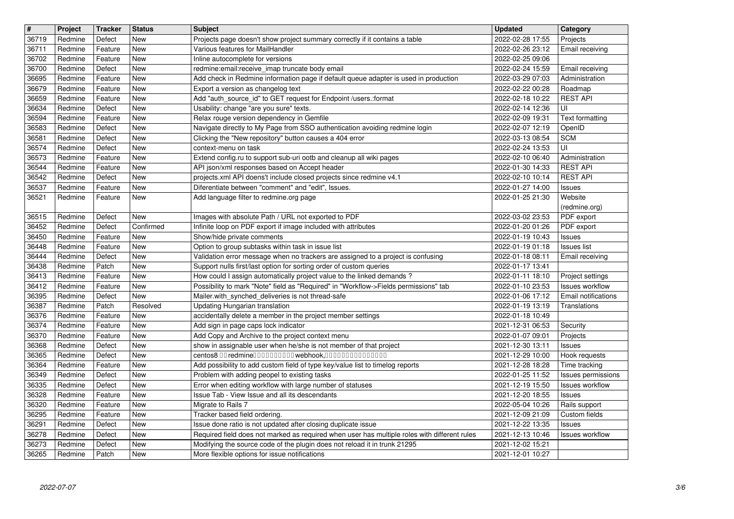| Project | <b>Tracker</b>                                                                                                                                                                                                                         | <b>Status</b>                                                                                                                                                                                                | <b>Subject</b>                                                                                                                                 | <b>Updated</b>                                                                                                                                                                                                                                                                                                                                                                                                                                                                                                                                                                                                                                                                                                                                                                                                                                                                                                                                                                                                                                                                                                                                                                                                                                                                                                                                                                                                                                                                        | Category                                                                                                                                                                                                                                                                                                                                                                                                                         |
|---------|----------------------------------------------------------------------------------------------------------------------------------------------------------------------------------------------------------------------------------------|--------------------------------------------------------------------------------------------------------------------------------------------------------------------------------------------------------------|------------------------------------------------------------------------------------------------------------------------------------------------|---------------------------------------------------------------------------------------------------------------------------------------------------------------------------------------------------------------------------------------------------------------------------------------------------------------------------------------------------------------------------------------------------------------------------------------------------------------------------------------------------------------------------------------------------------------------------------------------------------------------------------------------------------------------------------------------------------------------------------------------------------------------------------------------------------------------------------------------------------------------------------------------------------------------------------------------------------------------------------------------------------------------------------------------------------------------------------------------------------------------------------------------------------------------------------------------------------------------------------------------------------------------------------------------------------------------------------------------------------------------------------------------------------------------------------------------------------------------------------------|----------------------------------------------------------------------------------------------------------------------------------------------------------------------------------------------------------------------------------------------------------------------------------------------------------------------------------------------------------------------------------------------------------------------------------|
|         |                                                                                                                                                                                                                                        |                                                                                                                                                                                                              |                                                                                                                                                |                                                                                                                                                                                                                                                                                                                                                                                                                                                                                                                                                                                                                                                                                                                                                                                                                                                                                                                                                                                                                                                                                                                                                                                                                                                                                                                                                                                                                                                                                       | Projects<br>Email receiving                                                                                                                                                                                                                                                                                                                                                                                                      |
| Redmine | Feature                                                                                                                                                                                                                                | New                                                                                                                                                                                                          | Inline autocomplete for versions                                                                                                               | 2022-02-25 09:06                                                                                                                                                                                                                                                                                                                                                                                                                                                                                                                                                                                                                                                                                                                                                                                                                                                                                                                                                                                                                                                                                                                                                                                                                                                                                                                                                                                                                                                                      |                                                                                                                                                                                                                                                                                                                                                                                                                                  |
| Redmine | Defect                                                                                                                                                                                                                                 | New                                                                                                                                                                                                          | redmine: email: receive_imap truncate body email                                                                                               | 2022-02-24 15:59                                                                                                                                                                                                                                                                                                                                                                                                                                                                                                                                                                                                                                                                                                                                                                                                                                                                                                                                                                                                                                                                                                                                                                                                                                                                                                                                                                                                                                                                      | Email receiving                                                                                                                                                                                                                                                                                                                                                                                                                  |
| Redmine | Feature                                                                                                                                                                                                                                | New                                                                                                                                                                                                          |                                                                                                                                                |                                                                                                                                                                                                                                                                                                                                                                                                                                                                                                                                                                                                                                                                                                                                                                                                                                                                                                                                                                                                                                                                                                                                                                                                                                                                                                                                                                                                                                                                                       | Administration<br>Roadmap                                                                                                                                                                                                                                                                                                                                                                                                        |
| Redmine | Feature                                                                                                                                                                                                                                | New                                                                                                                                                                                                          | Add "auth_source_id" to GET request for Endpoint /users.:format                                                                                | 2022-02-18 10:22                                                                                                                                                                                                                                                                                                                                                                                                                                                                                                                                                                                                                                                                                                                                                                                                                                                                                                                                                                                                                                                                                                                                                                                                                                                                                                                                                                                                                                                                      | <b>REST API</b>                                                                                                                                                                                                                                                                                                                                                                                                                  |
|         |                                                                                                                                                                                                                                        |                                                                                                                                                                                                              |                                                                                                                                                |                                                                                                                                                                                                                                                                                                                                                                                                                                                                                                                                                                                                                                                                                                                                                                                                                                                                                                                                                                                                                                                                                                                                                                                                                                                                                                                                                                                                                                                                                       | UI<br><b>Text formatting</b>                                                                                                                                                                                                                                                                                                                                                                                                     |
| Redmine | Defect                                                                                                                                                                                                                                 | New                                                                                                                                                                                                          | Navigate directly to My Page from SSO authentication avoiding redmine login                                                                    | 2022-02-07 12:19                                                                                                                                                                                                                                                                                                                                                                                                                                                                                                                                                                                                                                                                                                                                                                                                                                                                                                                                                                                                                                                                                                                                                                                                                                                                                                                                                                                                                                                                      | OpenID                                                                                                                                                                                                                                                                                                                                                                                                                           |
| Redmine | Defect                                                                                                                                                                                                                                 | New                                                                                                                                                                                                          | Clicking the "New repository" button causes a 404 error                                                                                        | 2022-03-13 08:54                                                                                                                                                                                                                                                                                                                                                                                                                                                                                                                                                                                                                                                                                                                                                                                                                                                                                                                                                                                                                                                                                                                                                                                                                                                                                                                                                                                                                                                                      | <b>SCM</b>                                                                                                                                                                                                                                                                                                                                                                                                                       |
|         |                                                                                                                                                                                                                                        | New                                                                                                                                                                                                          |                                                                                                                                                |                                                                                                                                                                                                                                                                                                                                                                                                                                                                                                                                                                                                                                                                                                                                                                                                                                                                                                                                                                                                                                                                                                                                                                                                                                                                                                                                                                                                                                                                                       | UI<br>Administration                                                                                                                                                                                                                                                                                                                                                                                                             |
| Redmine | Feature                                                                                                                                                                                                                                | New                                                                                                                                                                                                          | API json/xml responses based on Accept header                                                                                                  | 2022-01-30 14:33                                                                                                                                                                                                                                                                                                                                                                                                                                                                                                                                                                                                                                                                                                                                                                                                                                                                                                                                                                                                                                                                                                                                                                                                                                                                                                                                                                                                                                                                      | <b>REST API</b>                                                                                                                                                                                                                                                                                                                                                                                                                  |
|         |                                                                                                                                                                                                                                        |                                                                                                                                                                                                              |                                                                                                                                                |                                                                                                                                                                                                                                                                                                                                                                                                                                                                                                                                                                                                                                                                                                                                                                                                                                                                                                                                                                                                                                                                                                                                                                                                                                                                                                                                                                                                                                                                                       | <b>REST API</b><br>Issues                                                                                                                                                                                                                                                                                                                                                                                                        |
| Redmine | Feature                                                                                                                                                                                                                                | New                                                                                                                                                                                                          | Add language filter to redmine.org page                                                                                                        | 2022-01-25 21:30                                                                                                                                                                                                                                                                                                                                                                                                                                                                                                                                                                                                                                                                                                                                                                                                                                                                                                                                                                                                                                                                                                                                                                                                                                                                                                                                                                                                                                                                      | Website<br>(redmine.org)                                                                                                                                                                                                                                                                                                                                                                                                         |
| Redmine | Defect                                                                                                                                                                                                                                 | New                                                                                                                                                                                                          | Images with absolute Path / URL not exported to PDF                                                                                            | 2022-03-02 23:53                                                                                                                                                                                                                                                                                                                                                                                                                                                                                                                                                                                                                                                                                                                                                                                                                                                                                                                                                                                                                                                                                                                                                                                                                                                                                                                                                                                                                                                                      | PDF export                                                                                                                                                                                                                                                                                                                                                                                                                       |
| Redmine | Feature                                                                                                                                                                                                                                | New                                                                                                                                                                                                          | Show/hide private comments                                                                                                                     | 2022-01-19 10:43                                                                                                                                                                                                                                                                                                                                                                                                                                                                                                                                                                                                                                                                                                                                                                                                                                                                                                                                                                                                                                                                                                                                                                                                                                                                                                                                                                                                                                                                      | PDF export<br>Issues                                                                                                                                                                                                                                                                                                                                                                                                             |
| Redmine | Feature                                                                                                                                                                                                                                | New                                                                                                                                                                                                          | Option to group subtasks within task in issue list                                                                                             | 2022-01-19 01:18                                                                                                                                                                                                                                                                                                                                                                                                                                                                                                                                                                                                                                                                                                                                                                                                                                                                                                                                                                                                                                                                                                                                                                                                                                                                                                                                                                                                                                                                      | <b>Issues list</b>                                                                                                                                                                                                                                                                                                                                                                                                               |
|         |                                                                                                                                                                                                                                        |                                                                                                                                                                                                              |                                                                                                                                                |                                                                                                                                                                                                                                                                                                                                                                                                                                                                                                                                                                                                                                                                                                                                                                                                                                                                                                                                                                                                                                                                                                                                                                                                                                                                                                                                                                                                                                                                                       | Email receiving                                                                                                                                                                                                                                                                                                                                                                                                                  |
| Redmine | Feature                                                                                                                                                                                                                                | New                                                                                                                                                                                                          | How could I assign automatically project value to the linked demands?                                                                          | 2022-01-11 18:10                                                                                                                                                                                                                                                                                                                                                                                                                                                                                                                                                                                                                                                                                                                                                                                                                                                                                                                                                                                                                                                                                                                                                                                                                                                                                                                                                                                                                                                                      | Project settings                                                                                                                                                                                                                                                                                                                                                                                                                 |
| Redmine | Feature                                                                                                                                                                                                                                | New                                                                                                                                                                                                          |                                                                                                                                                | 2022-01-10 23:53                                                                                                                                                                                                                                                                                                                                                                                                                                                                                                                                                                                                                                                                                                                                                                                                                                                                                                                                                                                                                                                                                                                                                                                                                                                                                                                                                                                                                                                                      | <b>Issues workflow</b><br><b>Email notifications</b>                                                                                                                                                                                                                                                                                                                                                                             |
| Redmine | Patch                                                                                                                                                                                                                                  | Resolved                                                                                                                                                                                                     | Updating Hungarian translation                                                                                                                 | 2022-01-19 13:19                                                                                                                                                                                                                                                                                                                                                                                                                                                                                                                                                                                                                                                                                                                                                                                                                                                                                                                                                                                                                                                                                                                                                                                                                                                                                                                                                                                                                                                                      | Translations                                                                                                                                                                                                                                                                                                                                                                                                                     |
| Redmine | Feature                                                                                                                                                                                                                                | New                                                                                                                                                                                                          | accidentally delete a member in the project member settings                                                                                    | 2022-01-18 10:49                                                                                                                                                                                                                                                                                                                                                                                                                                                                                                                                                                                                                                                                                                                                                                                                                                                                                                                                                                                                                                                                                                                                                                                                                                                                                                                                                                                                                                                                      |                                                                                                                                                                                                                                                                                                                                                                                                                                  |
|         |                                                                                                                                                                                                                                        |                                                                                                                                                                                                              |                                                                                                                                                |                                                                                                                                                                                                                                                                                                                                                                                                                                                                                                                                                                                                                                                                                                                                                                                                                                                                                                                                                                                                                                                                                                                                                                                                                                                                                                                                                                                                                                                                                       | Security<br>Projects                                                                                                                                                                                                                                                                                                                                                                                                             |
| Redmine | Defect                                                                                                                                                                                                                                 | New                                                                                                                                                                                                          | show in assignable user when he/she is not member of that project                                                                              | 2021-12-30 13:11                                                                                                                                                                                                                                                                                                                                                                                                                                                                                                                                                                                                                                                                                                                                                                                                                                                                                                                                                                                                                                                                                                                                                                                                                                                                                                                                                                                                                                                                      | Issues                                                                                                                                                                                                                                                                                                                                                                                                                           |
| Redmine | Defect                                                                                                                                                                                                                                 | New                                                                                                                                                                                                          |                                                                                                                                                | 2021-12-29 10:00                                                                                                                                                                                                                                                                                                                                                                                                                                                                                                                                                                                                                                                                                                                                                                                                                                                                                                                                                                                                                                                                                                                                                                                                                                                                                                                                                                                                                                                                      | Hook requests                                                                                                                                                                                                                                                                                                                                                                                                                    |
| Redmine | Defect                                                                                                                                                                                                                                 | New                                                                                                                                                                                                          | Problem with adding peopel to existing tasks                                                                                                   | 2022-01-25 11:52                                                                                                                                                                                                                                                                                                                                                                                                                                                                                                                                                                                                                                                                                                                                                                                                                                                                                                                                                                                                                                                                                                                                                                                                                                                                                                                                                                                                                                                                      | Time tracking<br>Issues permissions                                                                                                                                                                                                                                                                                                                                                                                              |
| Redmine | Defect                                                                                                                                                                                                                                 | New                                                                                                                                                                                                          | Error when editing workflow with large number of statuses                                                                                      | 2021-12-19 15:50                                                                                                                                                                                                                                                                                                                                                                                                                                                                                                                                                                                                                                                                                                                                                                                                                                                                                                                                                                                                                                                                                                                                                                                                                                                                                                                                                                                                                                                                      | <b>Issues workflow</b>                                                                                                                                                                                                                                                                                                                                                                                                           |
|         |                                                                                                                                                                                                                                        |                                                                                                                                                                                                              |                                                                                                                                                |                                                                                                                                                                                                                                                                                                                                                                                                                                                                                                                                                                                                                                                                                                                                                                                                                                                                                                                                                                                                                                                                                                                                                                                                                                                                                                                                                                                                                                                                                       | Issues<br>Rails support                                                                                                                                                                                                                                                                                                                                                                                                          |
| Redmine | Feature                                                                                                                                                                                                                                | New                                                                                                                                                                                                          | Tracker based field ordering.                                                                                                                  | 2021-12-09 21:09                                                                                                                                                                                                                                                                                                                                                                                                                                                                                                                                                                                                                                                                                                                                                                                                                                                                                                                                                                                                                                                                                                                                                                                                                                                                                                                                                                                                                                                                      | Custom fields                                                                                                                                                                                                                                                                                                                                                                                                                    |
| Redmine | Defect                                                                                                                                                                                                                                 | New                                                                                                                                                                                                          | Issue done ratio is not updated after closing duplicate issue                                                                                  | 2021-12-22 13:35                                                                                                                                                                                                                                                                                                                                                                                                                                                                                                                                                                                                                                                                                                                                                                                                                                                                                                                                                                                                                                                                                                                                                                                                                                                                                                                                                                                                                                                                      | <b>Issues</b><br>Issues workflow                                                                                                                                                                                                                                                                                                                                                                                                 |
| Redmine | Defect                                                                                                                                                                                                                                 | New                                                                                                                                                                                                          |                                                                                                                                                | 2021-12-02 15:21                                                                                                                                                                                                                                                                                                                                                                                                                                                                                                                                                                                                                                                                                                                                                                                                                                                                                                                                                                                                                                                                                                                                                                                                                                                                                                                                                                                                                                                                      |                                                                                                                                                                                                                                                                                                                                                                                                                                  |
|         |                                                                                                                                                                                                                                        |                                                                                                                                                                                                              |                                                                                                                                                |                                                                                                                                                                                                                                                                                                                                                                                                                                                                                                                                                                                                                                                                                                                                                                                                                                                                                                                                                                                                                                                                                                                                                                                                                                                                                                                                                                                                                                                                                       |                                                                                                                                                                                                                                                                                                                                                                                                                                  |
|         |                                                                                                                                                                                                                                        |                                                                                                                                                                                                              |                                                                                                                                                |                                                                                                                                                                                                                                                                                                                                                                                                                                                                                                                                                                                                                                                                                                                                                                                                                                                                                                                                                                                                                                                                                                                                                                                                                                                                                                                                                                                                                                                                                       |                                                                                                                                                                                                                                                                                                                                                                                                                                  |
|         |                                                                                                                                                                                                                                        |                                                                                                                                                                                                              |                                                                                                                                                |                                                                                                                                                                                                                                                                                                                                                                                                                                                                                                                                                                                                                                                                                                                                                                                                                                                                                                                                                                                                                                                                                                                                                                                                                                                                                                                                                                                                                                                                                       |                                                                                                                                                                                                                                                                                                                                                                                                                                  |
|         | Redmine<br>Redmine<br>Redmine<br>Redmine<br>Redmine<br>Redmine<br>Redmine<br>Redmine<br>Redmine<br>Redmine<br>Redmine<br>Redmine<br>Redmine<br>Redmine<br>Redmine<br>Redmine<br>Redmine<br>Redmine<br>Redmine<br>Redmine<br>2022-07-07 | Defect<br>Feature<br>Feature<br>Defect<br>Feature<br>Defect<br>Feature<br>Defect<br>Feature<br>Defect<br>Defect<br>Patch<br>Defect<br>Feature<br>Feature<br>Feature<br>Feature<br>Feature<br>Defect<br>Patch | New<br><b>New</b><br>New<br>New<br>New<br>New<br>New<br>New<br>Confirmed<br>New<br>New<br>New<br>New<br>New<br>New<br>New<br>New<br>New<br>New | Projects page doesn't show project summary correctly if it contains a table<br>Various features for MailHandler<br>Add check in Redmine information page if default queue adapter is used in production<br>Export a version as changelog text<br>Usability: change "are you sure" texts.<br>Relax rouge version dependency in Gemfile<br>context-menu on task<br>Extend config.ru to support sub-uri ootb and cleanup all wiki pages<br>projects.xml API doens't include closed projects since redmine v4.1<br>Diferentiate between "comment" and "edit", Issues.<br>Infinite loop on PDF export if image included with attributes<br>Validation error message when no trackers are assigned to a project is confusing<br>Support nulls first/last option for sorting order of custom queries<br>Possibility to mark "Note" field as "Required" in "Workflow->Fields permissions" tab<br>Mailer.with_synched_deliveries is not thread-safe<br>Add sign in page caps lock indicator<br>Add Copy and Archive to the project context menu<br>centos8 00 redmine0000000000 webhook,000000000000000<br>Add possibility to add custom field of type key/value list to timelog reports<br>Issue Tab - View Issue and all its descendants<br>Migrate to Rails 7<br>Required field does not marked as required when user has multiple roles with different rules<br>Modifying the source code of the plugin does not reload it in trunk 21295<br>More flexible options for issue notifications | 2022-02-28 17:55<br>2022-02-26 23:12<br>2022-03-29 07:03<br>2022-02-22 00:28<br>2022-02-14 12:36<br>2022-02-09 19:31<br>2022-02-24 13:53<br>2022-02-10 06:40<br>2022-02-10 10:14<br>2022-01-27 14:00<br>2022-01-20 01:26<br>2022-01-18 08:11<br>2022-01-17 13:41<br>2022-01-06 17:12<br>2021-12-31 06:53<br>2022-01-07 09:01<br>2021-12-28 18:28<br>2021-12-20 18:55<br>2022-05-04 10:26<br>2021-12-13 10:46<br>2021-12-01 10:27 |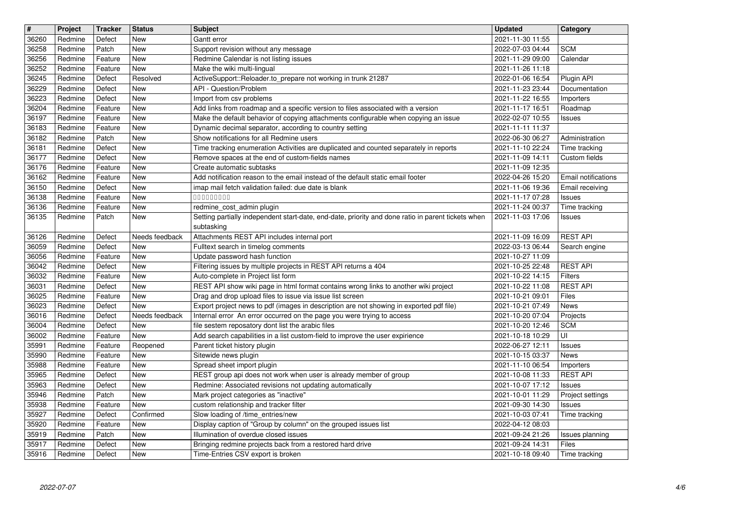| $\overline{\boldsymbol{H}}$ | Project            | <b>Tracker</b>     | <b>Status</b>         | <b>Subject</b>                                                                                                                                                    | <b>Updated</b>                       | Category                         |
|-----------------------------|--------------------|--------------------|-----------------------|-------------------------------------------------------------------------------------------------------------------------------------------------------------------|--------------------------------------|----------------------------------|
| 36260                       | Redmine            | Defect             | New                   | Gantt error                                                                                                                                                       | 2021-11-30 11:55                     |                                  |
| 36258<br>36256              | Redmine<br>Redmine | Patch<br>Feature   | New<br>New            | Support revision without any message<br>Redmine Calendar is not listing issues                                                                                    | 2022-07-03 04:44<br>2021-11-29 09:00 | <b>SCM</b><br>Calendar           |
| 36252                       | Redmine            | Feature            | New                   | Make the wiki multi-lingual                                                                                                                                       | 2021-11-26 11:18                     |                                  |
| 36245                       | Redmine            | Defect             | Resolved              | ActiveSupport::Reloader.to_prepare not working in trunk 21287                                                                                                     | 2022-01-06 16:54                     | Plugin API                       |
| 36229<br>36223              | Redmine<br>Redmine | Defect<br>Defect   | New<br>New            | API - Question/Problem<br>Import from csv problems                                                                                                                | 2021-11-23 23:44<br>2021-11-22 16:55 | Documentation<br>Importers       |
| 36204                       | Redmine            | Feature            | <b>New</b>            | Add links from roadmap and a specific version to files associated with a version                                                                                  | 2021-11-17 16:51                     | Roadmap                          |
| 36197                       | Redmine            | Feature            | New                   | Make the default behavior of copying attachments configurable when copying an issue                                                                               | 2022-02-07 10:55                     | Issues                           |
| 36183<br>36182              | Redmine            | Feature            | New                   | Dynamic decimal separator, according to country setting                                                                                                           | 2021-11-11 11:37<br>2022-06-30 06:27 |                                  |
| 36181                       | Redmine<br>Redmine | Patch<br>Defect    | New<br>New            | Show notifications for all Redmine users<br>Time tracking enumeration Activities are duplicated and counted separately in reports                                 | 2021-11-10 22:24                     | Administration<br>Time tracking  |
| 36177                       | Redmine            | Defect             | <b>New</b>            | Remove spaces at the end of custom-fields names                                                                                                                   | 2021-11-09 14:11                     | Custom fields                    |
| 36176<br>36162              | Redmine<br>Redmine | Feature<br>Feature | New<br>New            | Create automatic subtasks<br>Add notification reason to the email instead of the default static email footer                                                      | 2021-11-09 12:35<br>2022-04-26 15:20 | Email notifications              |
| 36150                       | Redmine            | Defect             | New                   | imap mail fetch validation failed: due date is blank                                                                                                              | 2021-11-06 19:36                     | Email receiving                  |
| 36138<br>36136              | Redmine<br>Redmine | Feature            | New<br>New            | 000000000<br>redmine_cost_admin plugin                                                                                                                            | 2021-11-17 07:28<br>2021-11-24 00:37 | Issues                           |
| 36135                       | Redmine            | Feature<br>Patch   | New                   | Setting partially independent start-date, end-date, priority and done ratio in parent tickets when<br>subtasking                                                  | 2021-11-03 17:06                     | Time tracking<br>Issues          |
| 36126<br>36059              | Redmine<br>Redmine | Defect<br>Defect   | Needs feedback<br>New | Attachments REST API includes internal port<br>Fulltext search in timelog comments                                                                                | 2021-11-09 16:09<br>2022-03-13 06:44 | <b>REST API</b><br>Search engine |
| 36056                       | Redmine            | Feature            | New                   | Update password hash function                                                                                                                                     | 2021-10-27 11:09                     |                                  |
| 36042                       | Redmine            | Defect             | New                   | Filtering issues by multiple projects in REST API returns a 404                                                                                                   | 2021-10-25 22:48                     | <b>REST API</b>                  |
| 36032<br>36031              | Redmine<br>Redmine | Feature<br>Defect  | New<br>New            | Auto-complete in Project list form<br>REST API show wiki page in html format contains wrong links to another wiki project                                         | 2021-10-22 14:15<br>2021-10-22 11:08 | Filters<br><b>REST API</b>       |
| 36025                       | Redmine            | Feature            | New                   | Drag and drop upload files to issue via issue list screen                                                                                                         | 2021-10-21 09:01                     | Files                            |
| 36023<br>36016              | Redmine<br>Redmine | Defect<br>Defect   | New<br>Needs feedback | Export project news to pdf (images in description are not showing in exported pdf file)<br>Internal error An error occurred on the page you were trying to access | 2021-10-21 07:49<br>2021-10-20 07:04 | <b>News</b><br>Projects          |
| 36004                       | Redmine            | Defect             | New                   | file sestem reposatory dont list the arabic files                                                                                                                 | 2021-10-20 12:46                     | <b>SCM</b>                       |
| 36002                       | Redmine            | Feature            | New                   | Add search capabilities in a list custom-field to improve the user expirience                                                                                     | 2021-10-18 10:29                     | UI                               |
| 35991<br>35990              | Redmine<br>Redmine | Feature<br>Feature | Reopened<br>New       | Parent ticket history plugin<br>Sitewide news plugin                                                                                                              | 2022-06-27 12:11<br>2021-10-15 03:37 | Issues<br>News                   |
| 35988                       | Redmine            | Feature            | New                   | Spread sheet import plugin                                                                                                                                        | 2021-11-10 06:54                     | Importers                        |
| 35965                       | Redmine            | Defect             | New                   | REST group api does not work when user is already member of group                                                                                                 | 2021-10-08 11:33                     | <b>REST API</b>                  |
| 35963<br>35946              | Redmine<br>Redmine | Defect<br>Patch    | New<br>New            | Redmine: Associated revisions not updating automatically<br>Mark project categories as "inactive"                                                                 | 2021-10-07 17:12<br>2021-10-01 11:29 | Issues<br>Project settings       |
| 35938                       | Redmine            | Feature            | New                   | custom relationship and tracker filter                                                                                                                            | 2021-09-30 14:30                     | <b>Issues</b>                    |
| 35927                       | Redmine            | Defect             | Confirmed             | Slow loading of /time_entries/new                                                                                                                                 | 2021-10-03 07:41                     | Time tracking                    |
| 35920<br>35919              | Redmine<br>Redmine | Feature<br>Patch   | New<br>New            | Display caption of "Group by column" on the grouped issues list<br>Illumination of overdue closed issues                                                          | 2022-04-12 08:03<br>2021-09-24 21:26 | Issues planning                  |
| 35917                       | Redmine            | Defect             | New                   | Bringing redmine projects back from a restored hard drive                                                                                                         | 2021-09-24 14:31                     | <b>Files</b>                     |
| 35916                       | Redmine            | Defect             | New                   | Time-Entries CSV export is broken                                                                                                                                 | 2021-10-18 09:40                     | Time tracking                    |
|                             |                    |                    |                       |                                                                                                                                                                   |                                      |                                  |
|                             |                    |                    |                       |                                                                                                                                                                   |                                      |                                  |
|                             |                    |                    |                       |                                                                                                                                                                   |                                      |                                  |
|                             |                    |                    |                       |                                                                                                                                                                   |                                      |                                  |
|                             |                    |                    |                       |                                                                                                                                                                   |                                      |                                  |
|                             |                    |                    |                       |                                                                                                                                                                   |                                      |                                  |
|                             |                    |                    |                       |                                                                                                                                                                   |                                      |                                  |
|                             |                    |                    |                       |                                                                                                                                                                   |                                      |                                  |
|                             |                    |                    |                       |                                                                                                                                                                   |                                      |                                  |
|                             |                    |                    |                       |                                                                                                                                                                   |                                      |                                  |
|                             |                    |                    |                       |                                                                                                                                                                   |                                      |                                  |
|                             |                    |                    |                       |                                                                                                                                                                   |                                      |                                  |
|                             |                    |                    |                       |                                                                                                                                                                   |                                      |                                  |
|                             |                    |                    |                       |                                                                                                                                                                   |                                      |                                  |
|                             |                    |                    |                       |                                                                                                                                                                   |                                      |                                  |
|                             |                    |                    |                       |                                                                                                                                                                   |                                      |                                  |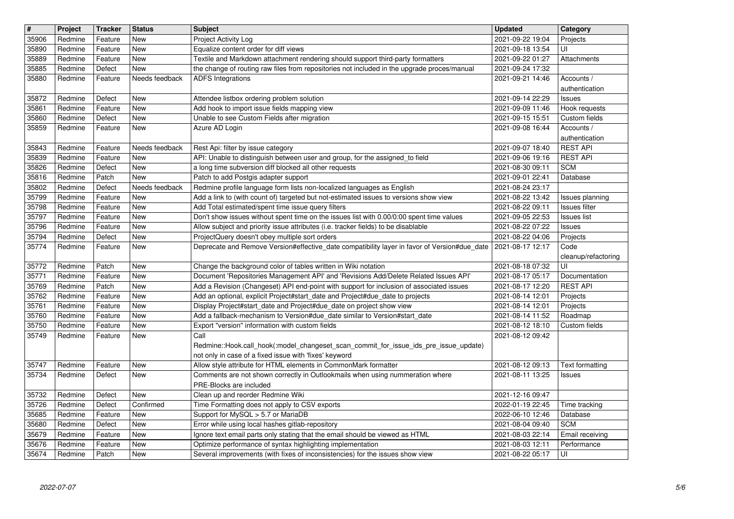| $\overline{\boldsymbol{H}}$ | Project            | <b>Tracker</b>     | <b>Status</b>           | <b>Subject</b>                                                                                                                                                                 | <b>Updated</b>                       | Category                            |
|-----------------------------|--------------------|--------------------|-------------------------|--------------------------------------------------------------------------------------------------------------------------------------------------------------------------------|--------------------------------------|-------------------------------------|
| 35906                       | Redmine            | Feature            | New                     | Project Activity Log                                                                                                                                                           | 2021-09-22 19:04                     | Projects                            |
| 35890                       | Redmine            | Feature            | New                     | Equalize content order for diff views                                                                                                                                          | 2021-09-18 13:54                     | UI                                  |
| 35889<br>35885              | Redmine<br>Redmine | Feature<br>Defect  | New<br><b>New</b>       | Textile and Markdown attachment rendering should support third-party formatters<br>the change of routing raw files from repositories not included in the upgrade proces/manual | 2021-09-22 01:27<br>2021-09-24 17:32 | Attachments                         |
| 35880                       | Redmine            | Feature            | Needs feedback          | <b>ADFS Integrations</b>                                                                                                                                                       | 2021-09-21 14:46                     | Accounts /                          |
|                             |                    |                    |                         |                                                                                                                                                                                |                                      | authentication                      |
| 35872                       | Redmine            | Defect             | New                     | Attendee listbox ordering problem solution                                                                                                                                     | 2021-09-14 22:29                     | <b>Issues</b>                       |
| 35861<br>35860              | Redmine<br>Redmine | Feature<br>Defect  | New<br>New              | Add hook to import issue fields mapping view<br>Unable to see Custom Fields after migration                                                                                    | 2021-09-09 11:46<br>2021-09-15 15:51 | Hook requests<br>Custom fields      |
| 35859                       | Redmine            | Feature            | New                     | Azure AD Login                                                                                                                                                                 | 2021-09-08 16:44                     | Accounts /                          |
|                             |                    |                    |                         |                                                                                                                                                                                |                                      | authentication                      |
| 35843                       | Redmine            | Feature            | Needs feedback          | Rest Api: filter by issue category                                                                                                                                             | 2021-09-07 18:40                     | <b>REST API</b>                     |
| 35839<br>35826              | Redmine<br>Redmine | Feature<br>Defect  | <b>New</b><br>New       | API: Unable to distinguish between user and group, for the assigned_to field<br>a long time subversion diff blocked all other requests                                         | 2021-09-06 19:16<br>2021-08-30 09:11 | <b>REST API</b><br><b>SCM</b>       |
| 35816                       | Redmine            | Patch              | <b>New</b>              | Patch to add Postgis adapter support                                                                                                                                           | 2021-09-01 22:41                     | Database                            |
| 35802                       | Redmine            | Defect             | Needs feedback          | Redmine profile language form lists non-localized languages as English                                                                                                         | 2021-08-24 23:17                     |                                     |
| 35799                       | Redmine            | Feature            | New                     | Add a link to (with count of) targeted but not-estimated issues to versions show view                                                                                          | 2021-08-22 13:42                     | Issues planning                     |
| 35798<br>35797              | Redmine<br>Redmine | Feature<br>Feature | <b>New</b><br>New       | Add Total estimated/spent time issue query filters<br>Don't show issues without spent time on the issues list with 0.00/0:00 spent time values                                 | 2021-08-22 09:11<br>2021-09-05 22:53 | Issues filter<br><b>Issues list</b> |
| 35796                       | Redmine            | Feature            | New                     | Allow subject and priority issue attributes (i.e. tracker fields) to be disablable                                                                                             | 2021-08-22 07:22                     | <b>Issues</b>                       |
| 35794                       | Redmine            | Defect             | New                     | ProjectQuery doesn't obey multiple sort orders                                                                                                                                 | 2021-08-22 04:06                     | Projects                            |
| 35774                       | Redmine            | Feature            | New                     | Deprecate and Remove Version#effective_date compatibility layer in favor of Version#due_date                                                                                   | 2021-08-17 12:17                     | Code                                |
| 35772                       | Redmine            | Patch              | <b>New</b>              | Change the background color of tables written in Wiki notation                                                                                                                 | 2021-08-18 07:32                     | cleanup/refactoring<br>UI           |
| 35771                       | Redmine            | Feature            | New                     | Document 'Repositories Management API' and 'Revisions Add/Delete Related Issues API'                                                                                           | 2021-08-17 05:17                     | Documentation                       |
| 35769                       | Redmine            | Patch              | <b>New</b>              | Add a Revision (Changeset) API end-point with support for inclusion of associated issues                                                                                       | 2021-08-17 12:20                     | <b>REST API</b>                     |
| 35762                       | Redmine            | Feature            | <b>New</b>              | Add an optional, explicit Project#start_date and Project#due_date to projects                                                                                                  | 2021-08-14 12:01                     | Projects                            |
| 35761<br>35760              | Redmine<br>Redmine | Feature<br>Feature | New<br>New              | Display Project#start_date and Project#due_date on project show view<br>Add a fallback-mechanism to Version#due_date similar to Version#start_date                             | 2021-08-14 12:01<br>2021-08-14 11:52 | Projects<br>Roadmap                 |
| 35750                       | Redmine            | Feature            | New                     | Export "version" information with custom fields                                                                                                                                | 2021-08-12 18:10                     | Custom fields                       |
| 35749                       | Redmine            | Feature            | New                     | Call                                                                                                                                                                           | 2021-08-12 09:42                     |                                     |
|                             |                    |                    |                         | Redmine::Hook.call_hook(:model_changeset_scan_commit_for_issue_ids_pre_issue_update)                                                                                           |                                      |                                     |
| 35747                       | Redmine            | Feature            | <b>New</b>              | not only in case of a fixed issue with 'fixes' keyword<br>Allow style attribute for HTML elements in CommonMark formatter                                                      | 2021-08-12 09:13                     | Text formatting                     |
| 35734                       | Redmine            | Defect             | New                     | Comments are not shown correctly in Outlookmails when using nummeration where                                                                                                  | 2021-08-11 13:25                     | Issues                              |
|                             |                    |                    |                         | PRE-Blocks are included                                                                                                                                                        |                                      |                                     |
| 35732                       | Redmine            | Defect             | New                     | Clean up and reorder Redmine Wiki                                                                                                                                              | 2021-12-16 09:47                     |                                     |
| 35726<br>35685              | Redmine<br>Redmine | Defect<br>Feature  | Confirmed<br><b>New</b> | Time Formatting does not apply to CSV exports<br>Support for MySQL > 5.7 or MariaDB                                                                                            | 2022-01-19 22:45<br>2022-06-10 12:46 | Time tracking<br>Database           |
| 35680                       | Redmine            | Defect             | New                     | Error while using local hashes gitlab-repository                                                                                                                               | 2021-08-04 09:40                     | <b>SCM</b>                          |
| 35679                       | Redmine            | Feature            | New                     | Ignore text email parts only stating that the email should be viewed as HTML                                                                                                   | 2021-08-03 22:14                     | Email receiving                     |
| 35676<br>35674              | Redmine<br>Redmine | Feature<br>Patch   | New<br>New              | Optimize performance of syntax highlighting implementation<br>Several improvements (with fixes of inconsistencies) for the issues show view                                    | 2021-08-03 12:11<br>2021-08-22 05:17 | Performance<br>UI                   |
|                             |                    |                    |                         |                                                                                                                                                                                |                                      |                                     |
|                             |                    |                    |                         |                                                                                                                                                                                |                                      |                                     |
|                             |                    |                    |                         |                                                                                                                                                                                |                                      |                                     |
|                             |                    |                    |                         |                                                                                                                                                                                |                                      |                                     |
|                             |                    |                    |                         |                                                                                                                                                                                |                                      |                                     |
|                             |                    |                    |                         |                                                                                                                                                                                |                                      |                                     |
|                             |                    |                    |                         |                                                                                                                                                                                |                                      |                                     |
|                             |                    |                    |                         |                                                                                                                                                                                |                                      |                                     |
|                             |                    |                    |                         |                                                                                                                                                                                |                                      |                                     |
|                             |                    |                    |                         |                                                                                                                                                                                |                                      |                                     |
|                             |                    |                    |                         |                                                                                                                                                                                |                                      |                                     |
|                             |                    |                    |                         |                                                                                                                                                                                |                                      |                                     |
|                             |                    |                    |                         |                                                                                                                                                                                |                                      |                                     |
|                             |                    |                    |                         |                                                                                                                                                                                |                                      |                                     |
|                             |                    |                    |                         |                                                                                                                                                                                |                                      |                                     |
|                             |                    |                    |                         |                                                                                                                                                                                |                                      |                                     |
|                             |                    |                    |                         |                                                                                                                                                                                |                                      |                                     |
|                             |                    |                    |                         |                                                                                                                                                                                |                                      |                                     |
|                             |                    |                    |                         |                                                                                                                                                                                |                                      |                                     |
|                             |                    |                    |                         |                                                                                                                                                                                |                                      |                                     |
|                             |                    |                    |                         |                                                                                                                                                                                |                                      |                                     |
|                             |                    |                    |                         |                                                                                                                                                                                |                                      |                                     |
|                             |                    |                    |                         |                                                                                                                                                                                |                                      |                                     |
|                             |                    |                    |                         |                                                                                                                                                                                |                                      |                                     |
|                             |                    |                    |                         |                                                                                                                                                                                |                                      |                                     |